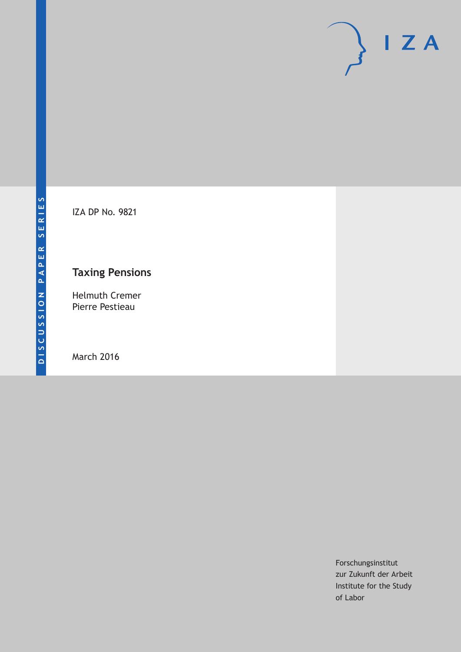

IZA DP No. 9821

# **Taxing Pensions**

Helmuth Cremer Pierre Pestieau

March 2016

Forschungsinstitut zur Zukunft der Arbeit Institute for the Study of Labor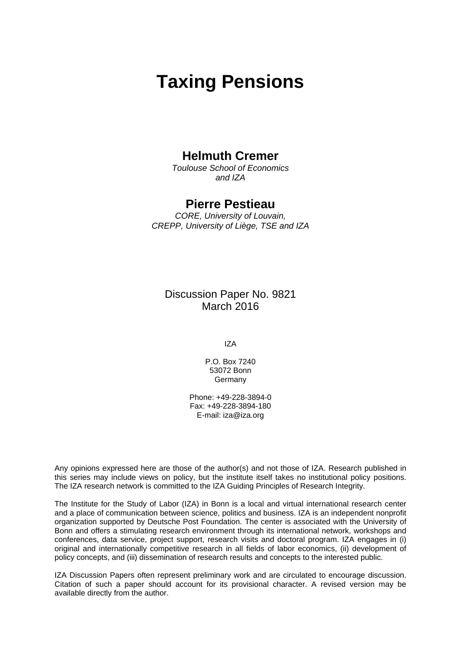# **Taxing Pensions**

# **Helmuth Cremer**

*Toulouse School of Economics and IZA* 

# **Pierre Pestieau**

*CORE, University of Louvain, CREPP, University of Liège, TSE and IZA* 

Discussion Paper No. 9821 March 2016

IZA

P.O. Box 7240 53072 Bonn Germany

Phone: +49-228-3894-0 Fax: +49-228-3894-180 E-mail: iza@iza.org

Any opinions expressed here are those of the author(s) and not those of IZA. Research published in this series may include views on policy, but the institute itself takes no institutional policy positions. The IZA research network is committed to the IZA Guiding Principles of Research Integrity.

The Institute for the Study of Labor (IZA) in Bonn is a local and virtual international research center and a place of communication between science, politics and business. IZA is an independent nonprofit organization supported by Deutsche Post Foundation. The center is associated with the University of Bonn and offers a stimulating research environment through its international network, workshops and conferences, data service, project support, research visits and doctoral program. IZA engages in (i) original and internationally competitive research in all fields of labor economics, (ii) development of policy concepts, and (iii) dissemination of research results and concepts to the interested public.

IZA Discussion Papers often represent preliminary work and are circulated to encourage discussion. Citation of such a paper should account for its provisional character. A revised version may be available directly from the author.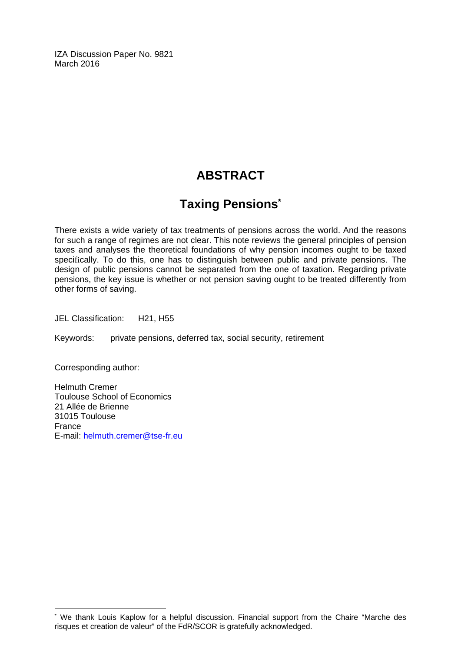IZA Discussion Paper No. 9821 March 2016

# **ABSTRACT**

# **Taxing Pensions\***

There exists a wide variety of tax treatments of pensions across the world. And the reasons for such a range of regimes are not clear. This note reviews the general principles of pension taxes and analyses the theoretical foundations of why pension incomes ought to be taxed specifically. To do this, one has to distinguish between public and private pensions. The design of public pensions cannot be separated from the one of taxation. Regarding private pensions, the key issue is whether or not pension saving ought to be treated differently from other forms of saving.

JEL Classification: H21, H55

Keywords: private pensions, deferred tax, social security, retirement

Corresponding author:

 $\overline{\phantom{a}}$ 

Helmuth Cremer Toulouse School of Economics 21 Allée de Brienne 31015 Toulouse France E-mail: helmuth.cremer@tse-fr.eu

<sup>\*</sup> We thank Louis Kaplow for a helpful discussion. Financial support from the Chaire "Marche des risques et creation de valeur" of the FdR/SCOR is gratefully acknowledged.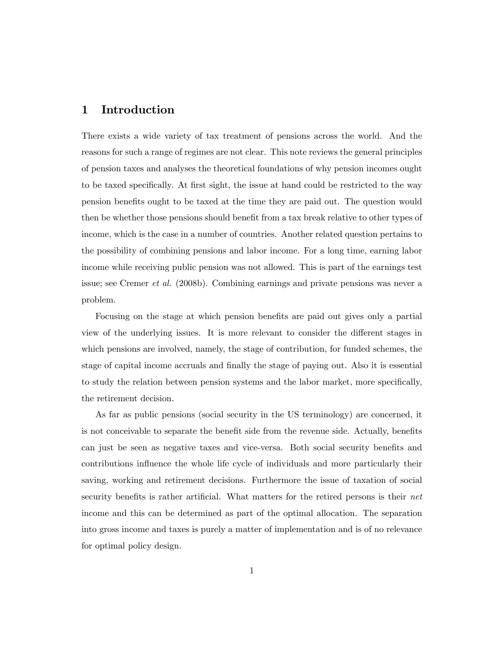## 1 Introduction

There exists a wide variety of tax treatment of pensions across the world. And the reasons for such a range of regimes are not clear. This note reviews the general principles of pension taxes and analyses the theoretical foundations of why pension incomes ought to be taxed specifically. At first sight, the issue at hand could be restricted to the way pension beneÖts ought to be taxed at the time they are paid out. The question would then be whether those pensions should benefit from a tax break relative to other types of income, which is the case in a number of countries. Another related question pertains to the possibility of combining pensions and labor income. For a long time, earning labor income while receiving public pension was not allowed. This is part of the earnings test issue; see Cremer et al. (2008b). Combining earnings and private pensions was never a problem.

Focusing on the stage at which pension benefits are paid out gives only a partial view of the underlying issues. It is more relevant to consider the different stages in which pensions are involved, namely, the stage of contribution, for funded schemes, the stage of capital income accruals and finally the stage of paying out. Also it is essential to study the relation between pension systems and the labor market, more specifically, the retirement decision.

As far as public pensions (social security in the US terminology) are concerned, it is not conceivable to separate the benefit side from the revenue side. Actually, benefits can just be seen as negative taxes and vice-versa. Both social security benefits and contributions influence the whole life cycle of individuals and more particularly their saving, working and retirement decisions. Furthermore the issue of taxation of social security benefits is rather artificial. What matters for the retired persons is their net income and this can be determined as part of the optimal allocation. The separation into gross income and taxes is purely a matter of implementation and is of no relevance for optimal policy design.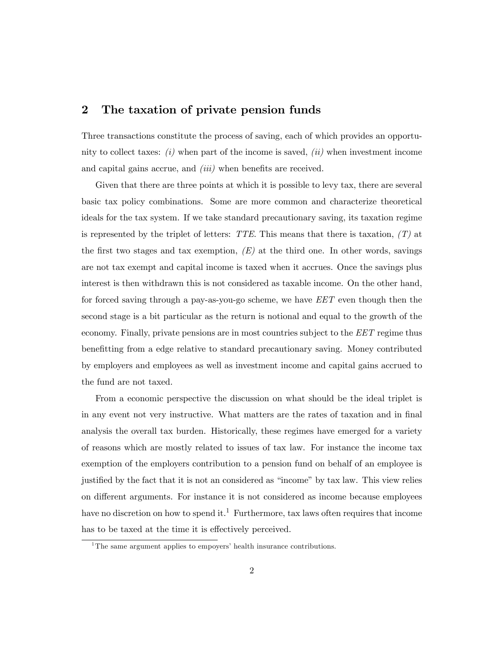### 2 The taxation of private pension funds

Three transactions constitute the process of saving, each of which provides an opportunity to collect taxes:  $(i)$  when part of the income is saved,  $(ii)$  when investment income and capital gains accrue, and  $(iii)$  when benefits are received.

Given that there are three points at which it is possible to levy tax, there are several basic tax policy combinations. Some are more common and characterize theoretical ideals for the tax system. If we take standard precautionary saving, its taxation regime is represented by the triplet of letters: TTE. This means that there is taxation,  $(T)$  at the first two stages and tax exemption,  $(E)$  at the third one. In other words, savings are not tax exempt and capital income is taxed when it accrues. Once the savings plus interest is then withdrawn this is not considered as taxable income. On the other hand, for forced saving through a pay-as-you-go scheme, we have EET even though then the second stage is a bit particular as the return is notional and equal to the growth of the economy. Finally, private pensions are in most countries subject to the EET regime thus benefitting from a edge relative to standard precautionary saving. Money contributed by employers and employees as well as investment income and capital gains accrued to the fund are not taxed.

From a economic perspective the discussion on what should be the ideal triplet is in any event not very instructive. What matters are the rates of taxation and in final analysis the overall tax burden. Historically, these regimes have emerged for a variety of reasons which are mostly related to issues of tax law. For instance the income tax exemption of the employers contribution to a pension fund on behalf of an employee is justified by the fact that it is not an considered as "income" by tax law. This view relies on different arguments. For instance it is not considered as income because employees have no discretion on how to spend it.<sup>1</sup> Furthermore, tax laws often requires that income has to be taxed at the time it is effectively perceived.

<sup>&</sup>lt;sup>1</sup>The same argument applies to empoyers' health insurance contributions.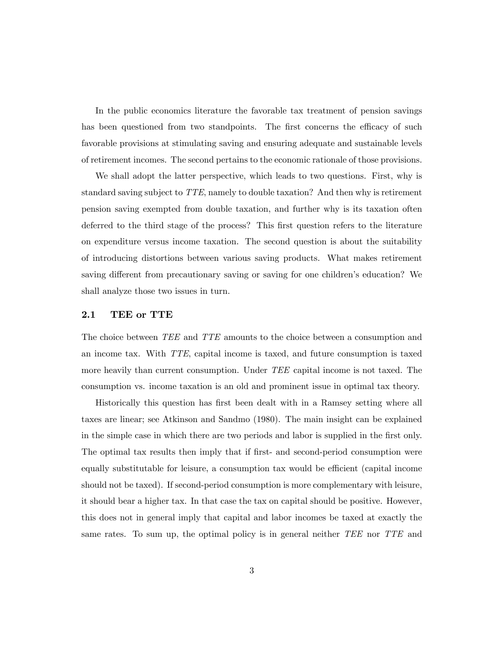In the public economics literature the favorable tax treatment of pension savings has been questioned from two standpoints. The first concerns the efficacy of such favorable provisions at stimulating saving and ensuring adequate and sustainable levels of retirement incomes. The second pertains to the economic rationale of those provisions.

We shall adopt the latter perspective, which leads to two questions. First, why is standard saving subject to TTE, namely to double taxation? And then why is retirement pension saving exempted from double taxation, and further why is its taxation often deferred to the third stage of the process? This first question refers to the literature on expenditure versus income taxation. The second question is about the suitability of introducing distortions between various saving products. What makes retirement saving different from precautionary saving or saving for one children's education? We shall analyze those two issues in turn.

#### 2.1 TEE or TTE

The choice between TEE and TTE amounts to the choice between a consumption and an income tax. With TTE, capital income is taxed, and future consumption is taxed more heavily than current consumption. Under TEE capital income is not taxed. The consumption vs. income taxation is an old and prominent issue in optimal tax theory.

Historically this question has first been dealt with in a Ramsey setting where all taxes are linear; see Atkinson and Sandmo (1980). The main insight can be explained in the simple case in which there are two periods and labor is supplied in the first only. The optimal tax results then imply that if first- and second-period consumption were equally substitutable for leisure, a consumption tax would be efficient (capital income should not be taxed). If second-period consumption is more complementary with leisure, it should bear a higher tax. In that case the tax on capital should be positive. However, this does not in general imply that capital and labor incomes be taxed at exactly the same rates. To sum up, the optimal policy is in general neither TEE nor TTE and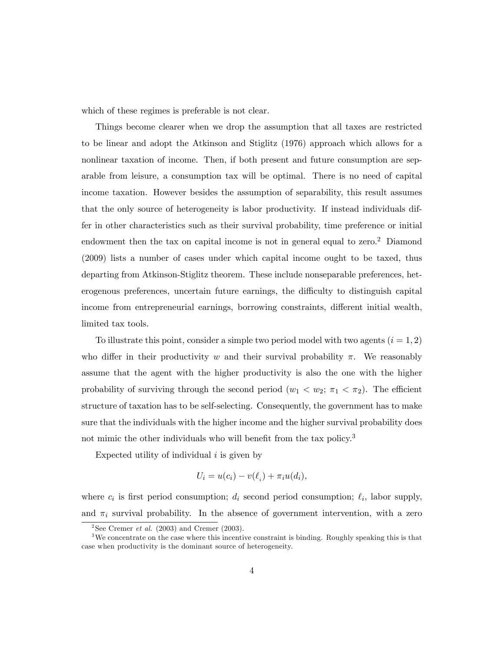which of these regimes is preferable is not clear.

Things become clearer when we drop the assumption that all taxes are restricted to be linear and adopt the Atkinson and Stiglitz (1976) approach which allows for a nonlinear taxation of income. Then, if both present and future consumption are separable from leisure, a consumption tax will be optimal. There is no need of capital income taxation. However besides the assumption of separability, this result assumes that the only source of heterogeneity is labor productivity. If instead individuals differ in other characteristics such as their survival probability, time preference or initial endowment then the tax on capital income is not in general equal to zero.<sup>2</sup> Diamond (2009) lists a number of cases under which capital income ought to be taxed, thus departing from Atkinson-Stiglitz theorem. These include nonseparable preferences, heterogenous preferences, uncertain future earnings, the difficulty to distinguish capital income from entrepreneurial earnings, borrowing constraints, different initial wealth, limited tax tools.

To illustrate this point, consider a simple two period model with two agents  $(i = 1, 2)$ who differ in their productivity w and their survival probability  $\pi$ . We reasonably assume that the agent with the higher productivity is also the one with the higher probability of surviving through the second period  $(w_1 < w_2; \pi_1 < \pi_2)$ . The efficient structure of taxation has to be self-selecting. Consequently, the government has to make sure that the individuals with the higher income and the higher survival probability does not mimic the other individuals who will benefit from the tax policy.<sup>3</sup>

Expected utility of individual  $i$  is given by

$$
U_i = u(c_i) - v(\ell_i) + \pi_i u(d_i),
$$

where  $c_i$  is first period consumption;  $d_i$  second period consumption;  $\ell_i$ , labor supply, and  $\pi_i$  survival probability. In the absence of government intervention, with a zero

<sup>&</sup>lt;sup>2</sup>See Cremer *et al.* (2003) and Cremer (2003).

<sup>&</sup>lt;sup>3</sup>We concentrate on the case where this incentive constraint is binding. Roughly speaking this is that case when productivity is the dominant source of heterogeneity.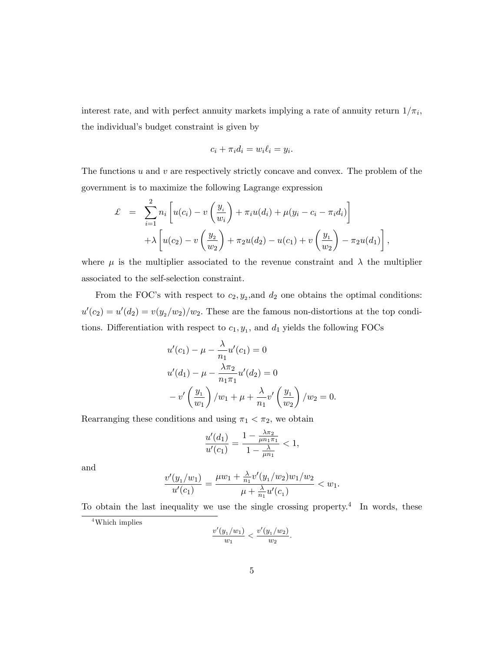interest rate, and with perfect annuity markets implying a rate of annuity return  $1/\pi_i$ , the individual's budget constraint is given by

$$
c_i + \pi_i d_i = w_i \ell_i = y_i.
$$

The functions  $u$  and  $v$  are respectively strictly concave and convex. The problem of the government is to maximize the following Lagrange expression

$$
\mathcal{L} = \sum_{i=1}^{2} n_i \left[ u(c_i) - v\left(\frac{y_i}{w_i}\right) + \pi_i u(d_i) + \mu(y_i - c_i - \pi_i d_i) \right] \n+ \lambda \left[ u(c_2) - v\left(\frac{y_2}{w_2}\right) + \pi_2 u(d_2) - u(c_1) + v\left(\frac{y_1}{w_2}\right) - \pi_2 u(d_1) \right],
$$

where  $\mu$  is the multiplier associated to the revenue constraint and  $\lambda$  the multiplier associated to the self-selection constraint.

From the FOC's with respect to  $c_2, y_2$ , and  $d_2$  one obtains the optimal conditions:  $u'(c_2) = u'(d_2) = v(y_2/w_2)/w_2$ . These are the famous non-distortions at the top conditions. Differentiation with respect to  $c_1, y_1$ , and  $d_1$  yields the following FOCs

$$
u'(c_1) - \mu - \frac{\lambda}{n_1} u'(c_1) = 0
$$
  

$$
u'(d_1) - \mu - \frac{\lambda \pi_2}{n_1 \pi_1} u'(d_2) = 0
$$
  

$$
-v'\left(\frac{y_1}{w_1}\right) / w_1 + \mu + \frac{\lambda}{n_1} v'\left(\frac{y_1}{w_2}\right) / w_2 = 0.
$$

Rearranging these conditions and using  $\pi_1 < \pi_2$ , we obtain

$$
\frac{u'(d_1)}{u'(c_1)} = \frac{1 - \frac{\lambda \pi_2}{\mu n_1 \pi_1}}{1 - \frac{\lambda}{\mu n_1}} < 1,
$$

and

$$
\frac{v'(y_1/w_1)}{u'(c_1)} = \frac{\mu w_1 + \frac{\lambda}{n_1} v'(y_1/w_2) w_1/w_2}{\mu + \frac{\lambda}{n_1} u'(c_1)} < w_1.
$$

To obtain the last inequality we use the single crossing property.<sup>4</sup> In words, these

$$
\frac{v'(y_1/w_1)}{w_1} < \frac{v'(y_1/w_2)}{w_2}.
$$

<sup>4</sup>Which implies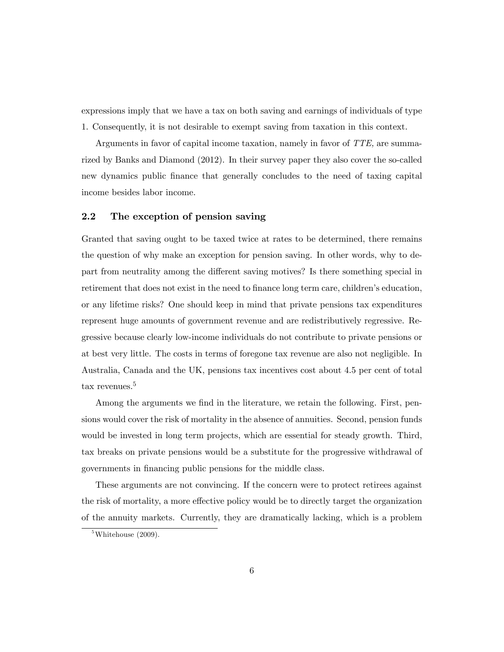expressions imply that we have a tax on both saving and earnings of individuals of type 1. Consequently, it is not desirable to exempt saving from taxation in this context.

Arguments in favor of capital income taxation, namely in favor of TTE, are summarized by Banks and Diamond (2012). In their survey paper they also cover the so-called new dynamics public Önance that generally concludes to the need of taxing capital income besides labor income.

#### 2.2 The exception of pension saving

Granted that saving ought to be taxed twice at rates to be determined, there remains the question of why make an exception for pension saving. In other words, why to depart from neutrality among the different saving motives? Is there something special in retirement that does not exist in the need to finance long term care, children's education, or any lifetime risks? One should keep in mind that private pensions tax expenditures represent huge amounts of government revenue and are redistributively regressive. Regressive because clearly low-income individuals do not contribute to private pensions or at best very little. The costs in terms of foregone tax revenue are also not negligible. In Australia, Canada and the UK, pensions tax incentives cost about 4.5 per cent of total tax revenues.<sup>5</sup>

Among the arguments we find in the literature, we retain the following. First, pensions would cover the risk of mortality in the absence of annuities. Second, pension funds would be invested in long term projects, which are essential for steady growth. Third, tax breaks on private pensions would be a substitute for the progressive withdrawal of governments in financing public pensions for the middle class.

These arguments are not convincing. If the concern were to protect retirees against the risk of mortality, a more effective policy would be to directly target the organization of the annuity markets. Currently, they are dramatically lacking, which is a problem

 $5$ Whitehouse (2009).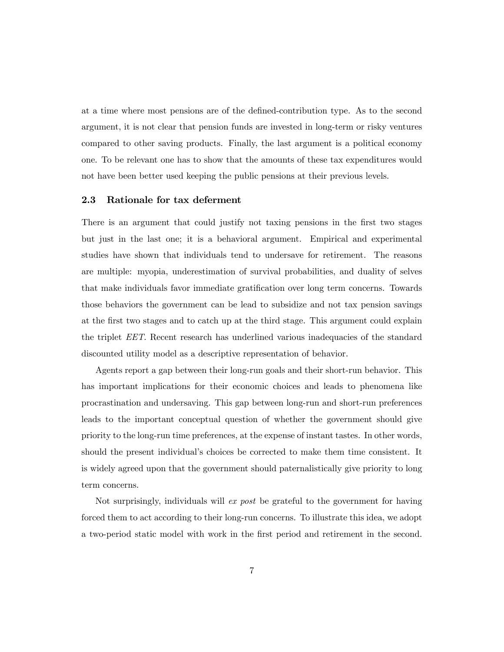at a time where most pensions are of the defined-contribution type. As to the second argument, it is not clear that pension funds are invested in long-term or risky ventures compared to other saving products. Finally, the last argument is a political economy one. To be relevant one has to show that the amounts of these tax expenditures would not have been better used keeping the public pensions at their previous levels.

#### 2.3 Rationale for tax deferment

There is an argument that could justify not taxing pensions in the first two stages but just in the last one; it is a behavioral argument. Empirical and experimental studies have shown that individuals tend to undersave for retirement. The reasons are multiple: myopia, underestimation of survival probabilities, and duality of selves that make individuals favor immediate gratification over long term concerns. Towards those behaviors the government can be lead to subsidize and not tax pension savings at the Örst two stages and to catch up at the third stage. This argument could explain the triplet EET. Recent research has underlined various inadequacies of the standard discounted utility model as a descriptive representation of behavior.

Agents report a gap between their long-run goals and their short-run behavior. This has important implications for their economic choices and leads to phenomena like procrastination and undersaving. This gap between long-run and short-run preferences leads to the important conceptual question of whether the government should give priority to the long-run time preferences, at the expense of instant tastes. In other words, should the present individual's choices be corrected to make them time consistent. It is widely agreed upon that the government should paternalistically give priority to long term concerns.

Not surprisingly, individuals will ex post be grateful to the government for having forced them to act according to their long-run concerns. To illustrate this idea, we adopt a two-period static model with work in the Örst period and retirement in the second.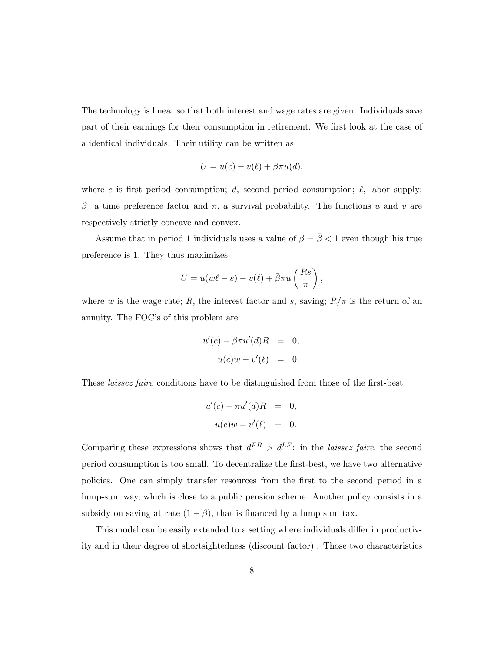The technology is linear so that both interest and wage rates are given. Individuals save part of their earnings for their consumption in retirement. We first look at the case of a identical individuals. Their utility can be written as

$$
U = u(c) - v(\ell) + \beta \pi u(d),
$$

where c is first period consumption; d, second period consumption;  $\ell$ , labor supply;  $\beta$  a time preference factor and  $\pi$ , a survival probability. The functions u and v are respectively strictly concave and convex.

Assume that in period 1 individuals uses a value of  $\beta=\bar{\beta}<1$  even though his true preference is 1. They thus maximizes

$$
U = u(w\ell - s) - v(\ell) + \bar{\beta}\pi u\left(\frac{Rs}{\pi}\right),\,
$$

where w is the wage rate; R, the interest factor and s, saving;  $R/\pi$  is the return of an annuity. The FOC's of this problem are

$$
u'(c) - \bar{\beta}\pi u'(d)R = 0,
$$
  

$$
u(c)w - v'(\ell) = 0.
$$

These *laissez faire* conditions have to be distinguished from those of the first-best

$$
u'(c) - \pi u'(d)R = 0,
$$
  

$$
u(c)w - v'(\ell) = 0.
$$

Comparing these expressions shows that  $d^{FB} > d^{LF}$ : in the laissez faire, the second period consumption is too small. To decentralize the Örst-best, we have two alternative policies. One can simply transfer resources from the Örst to the second period in a lump-sum way, which is close to a public pension scheme. Another policy consists in a subsidy on saving at rate  $(1 - \overline{\beta})$ , that is financed by a lump sum tax.

This model can be easily extended to a setting where individuals differ in productivity and in their degree of shortsightedness (discount factor) . Those two characteristics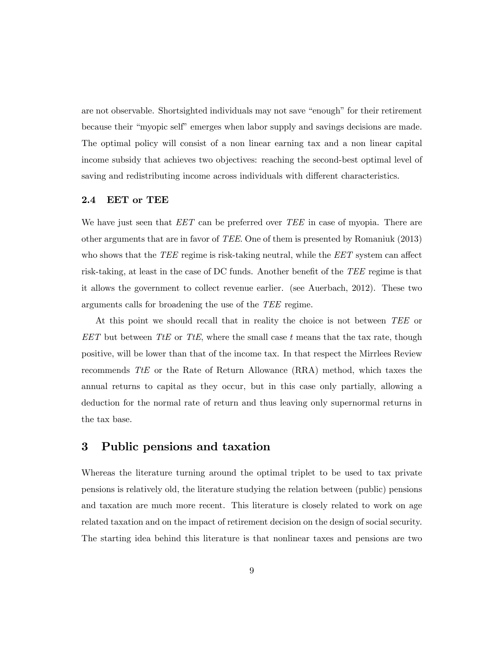are not observable. Shortsighted individuals may not save "enough" for their retirement because their "myopic self" emerges when labor supply and savings decisions are made. The optimal policy will consist of a non linear earning tax and a non linear capital income subsidy that achieves two objectives: reaching the second-best optimal level of saving and redistributing income across individuals with different characteristics.

#### 2.4 EET or TEE

We have just seen that  $EET$  can be preferred over  $TEE$  in case of myopia. There are other arguments that are in favor of TEE. One of them is presented by Romaniuk (2013) who shows that the  $TEE$  regime is risk-taking neutral, while the  $EET$  system can affect risk-taking, at least in the case of DC funds. Another benefit of the TEE regime is that it allows the government to collect revenue earlier. (see Auerbach, 2012). These two arguments calls for broadening the use of the TEE regime.

At this point we should recall that in reality the choice is not between TEE or  $EET$  but between TtE or TtE, where the small case t means that the tax rate, though positive, will be lower than that of the income tax. In that respect the Mirrlees Review recommends TtE or the Rate of Return Allowance (RRA) method, which taxes the annual returns to capital as they occur, but in this case only partially, allowing a deduction for the normal rate of return and thus leaving only supernormal returns in the tax base.

### 3 Public pensions and taxation

Whereas the literature turning around the optimal triplet to be used to tax private pensions is relatively old, the literature studying the relation between (public) pensions and taxation are much more recent. This literature is closely related to work on age related taxation and on the impact of retirement decision on the design of social security. The starting idea behind this literature is that nonlinear taxes and pensions are two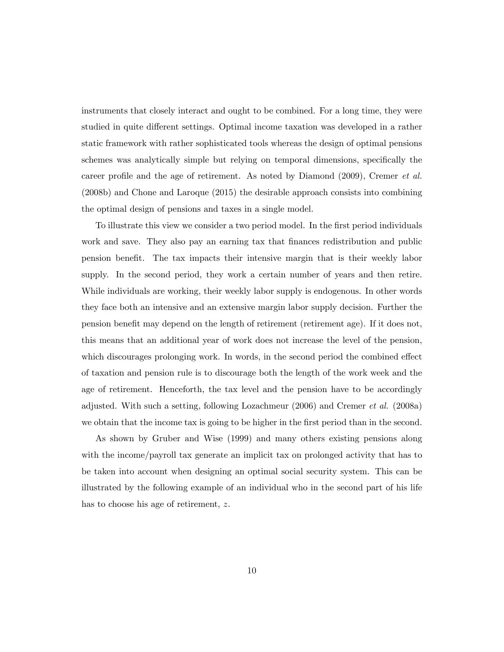instruments that closely interact and ought to be combined. For a long time, they were studied in quite different settings. Optimal income taxation was developed in a rather static framework with rather sophisticated tools whereas the design of optimal pensions schemes was analytically simple but relying on temporal dimensions, specifically the career profile and the age of retirement. As noted by Diamond  $(2009)$ , Cremer *et al.* (2008b) and Chone and Laroque (2015) the desirable approach consists into combining the optimal design of pensions and taxes in a single model.

To illustrate this view we consider a two period model. In the first period individuals work and save. They also pay an earning tax that finances redistribution and public pension beneÖt. The tax impacts their intensive margin that is their weekly labor supply. In the second period, they work a certain number of years and then retire. While individuals are working, their weekly labor supply is endogenous. In other words they face both an intensive and an extensive margin labor supply decision. Further the pension benefit may depend on the length of retirement (retirement age). If it does not, this means that an additional year of work does not increase the level of the pension, which discourages prolonging work. In words, in the second period the combined effect of taxation and pension rule is to discourage both the length of the work week and the age of retirement. Henceforth, the tax level and the pension have to be accordingly adjusted. With such a setting, following Lozachmeur (2006) and Cremer et al. (2008a) we obtain that the income tax is going to be higher in the first period than in the second.

As shown by Gruber and Wise (1999) and many others existing pensions along with the income/payroll tax generate an implicit tax on prolonged activity that has to be taken into account when designing an optimal social security system. This can be illustrated by the following example of an individual who in the second part of his life has to choose his age of retirement, z.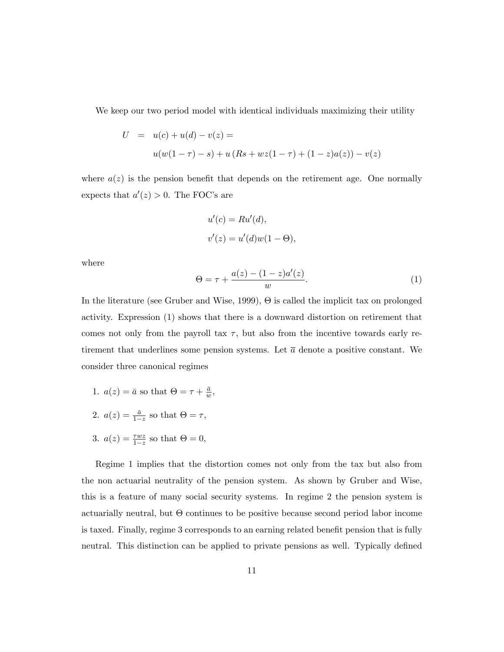We keep our two period model with identical individuals maximizing their utility

$$
U = u(c) + u(d) - v(z) =
$$
  
 
$$
u(w(1 - \tau) - s) + u(Rs + wz(1 - \tau) + (1 - z)a(z)) - v(z)
$$

where  $a(z)$  is the pension benefit that depends on the retirement age. One normally expects that  $a'(z) > 0$ . The FOC's are

$$
u'(c) = Ru'(d),
$$
  

$$
v'(z) = u'(d)w(1 - \Theta),
$$

where

$$
\Theta = \tau + \frac{a(z) - (1 - z)a'(z)}{w}.
$$
 (1)

In the literature (see Gruber and Wise, 1999),  $\Theta$  is called the implicit tax on prolonged activity. Expression (1) shows that there is a downward distortion on retirement that comes not only from the payroll tax  $\tau$ , but also from the incentive towards early retirement that underlines some pension systems. Let  $\bar{a}$  denote a positive constant. We consider three canonical regimes

- 1.  $a(z) = \overline{a}$  so that  $\Theta = \tau + \frac{\overline{a}}{w}$  $\frac{\bar{a}}{w}$  ,
- 2.  $a(z) = \frac{\bar{a}}{1-z}$  so that  $\Theta = \tau$ ,
- 3.  $a(z) = \frac{\tau wz}{1-z}$  so that  $\Theta = 0$ ,

Regime 1 implies that the distortion comes not only from the tax but also from the non actuarial neutrality of the pension system. As shown by Gruber and Wise, this is a feature of many social security systems. In regime 2 the pension system is actuarially neutral, but  $\Theta$  continues to be positive because second period labor income is taxed. Finally, regime 3 corresponds to an earning related benefit pension that is fully neutral. This distinction can be applied to private pensions as well. Typically defined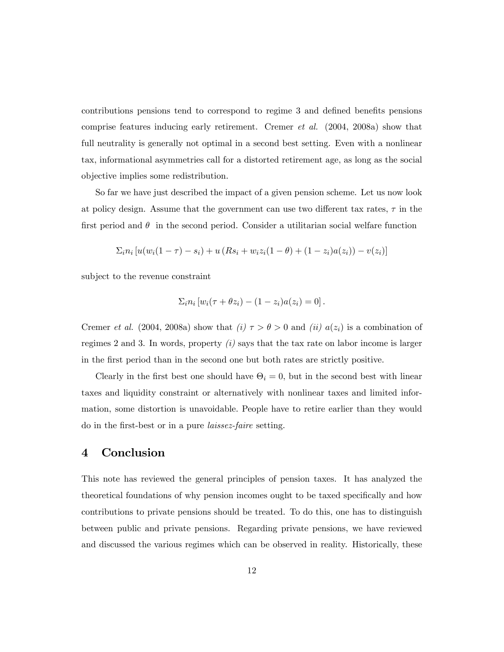contributions pensions tend to correspond to regime 3 and defined benefits pensions comprise features inducing early retirement. Cremer et al. (2004, 2008a) show that full neutrality is generally not optimal in a second best setting. Even with a nonlinear tax, informational asymmetries call for a distorted retirement age, as long as the social objective implies some redistribution.

So far we have just described the impact of a given pension scheme. Let us now look at policy design. Assume that the government can use two different tax rates,  $\tau$  in the first period and  $\theta$  in the second period. Consider a utilitarian social welfare function

$$
\sum_{i} n_i \left[ u(w_i(1-\tau) - s_i) + u(Rs_i + w_i z_i(1-\theta) + (1-z_i)a(z_i)) - v(z_i) \right]
$$

subject to the revenue constraint

$$
\Sigma_i n_i [w_i(\tau + \theta z_i) - (1 - z_i)a(z_i) = 0].
$$

Cremer *et al.* (2004, 2008a) show that (i)  $\tau > \theta > 0$  and (ii)  $a(z_i)$  is a combination of regimes 2 and 3. In words, property  $(i)$  says that the tax rate on labor income is larger in the Örst period than in the second one but both rates are strictly positive.

Clearly in the first best one should have  $\Theta_i = 0$ , but in the second best with linear taxes and liquidity constraint or alternatively with nonlinear taxes and limited information, some distortion is unavoidable. People have to retire earlier than they would do in the first-best or in a pure *laissez-faire* setting.

### 4 Conclusion

This note has reviewed the general principles of pension taxes. It has analyzed the theoretical foundations of why pension incomes ought to be taxed specifically and how contributions to private pensions should be treated. To do this, one has to distinguish between public and private pensions. Regarding private pensions, we have reviewed and discussed the various regimes which can be observed in reality. Historically, these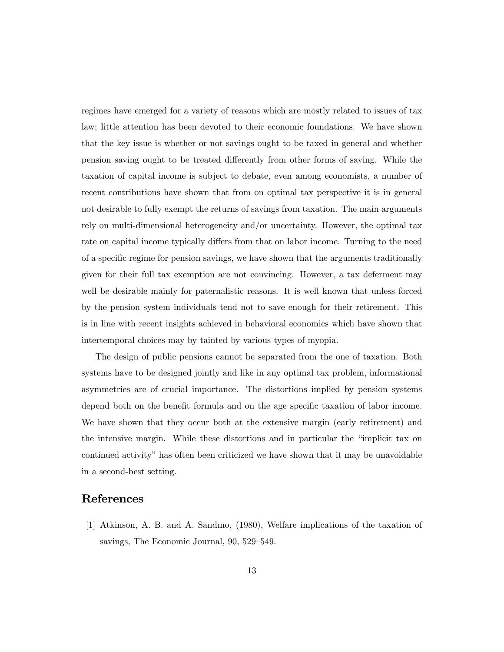regimes have emerged for a variety of reasons which are mostly related to issues of tax law; little attention has been devoted to their economic foundations. We have shown that the key issue is whether or not savings ought to be taxed in general and whether pension saving ought to be treated di§erently from other forms of saving. While the taxation of capital income is subject to debate, even among economists, a number of recent contributions have shown that from on optimal tax perspective it is in general not desirable to fully exempt the returns of savings from taxation. The main arguments rely on multi-dimensional heterogeneity and/or uncertainty. However, the optimal tax rate on capital income typically differs from that on labor income. Turning to the need of a specific regime for pension savings, we have shown that the arguments traditionally given for their full tax exemption are not convincing. However, a tax deferment may well be desirable mainly for paternalistic reasons. It is well known that unless forced by the pension system individuals tend not to save enough for their retirement. This is in line with recent insights achieved in behavioral economics which have shown that intertemporal choices may by tainted by various types of myopia.

The design of public pensions cannot be separated from the one of taxation. Both systems have to be designed jointly and like in any optimal tax problem, informational asymmetries are of crucial importance. The distortions implied by pension systems depend both on the benefit formula and on the age specific taxation of labor income. We have shown that they occur both at the extensive margin (early retirement) and the intensive margin. While these distortions and in particular the "implicit tax on continued activity" has often been criticized we have shown that it may be unavoidable in a second-best setting.

#### References

[1] Atkinson, A. B. and A. Sandmo, (1980), Welfare implications of the taxation of savings, The Economic Journal, 90, 529–549.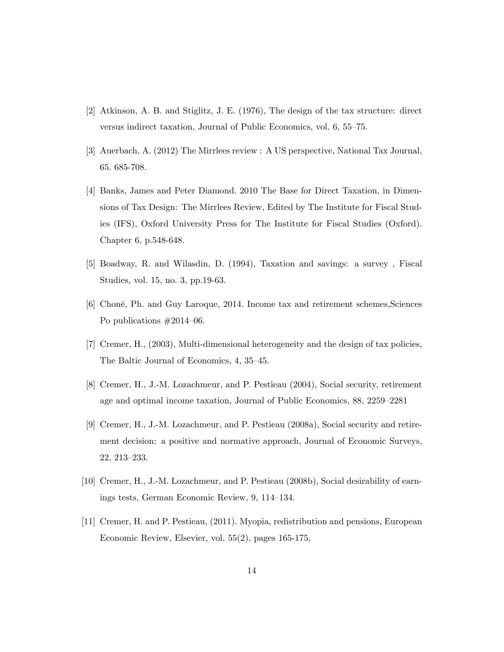- [2] Atkinson, A. B. and Stiglitz, J. E. (1976), The design of the tax structure: direct versus indirect taxation, Journal of Public Economics, vol. 6, 55–75.
- [3] Auerbach, A. (2012) The Mirrlees review : A US perspective, National Tax Journal, 65. 685-708.
- [4] Banks, James and Peter Diamond. 2010 The Base for Direct Taxation, in Dimensions of Tax Design: The Mirrlees Review, Edited by The Institute for Fiscal Studies (IFS), Oxford University Press for The Institute for Fiscal Studies (Oxford). Chapter 6, p.548-648.
- [5] Boadway, R. and Wilasdin, D. (1994), Taxation and savings: a survey , Fiscal Studies, vol. 15, no. 3, pp.19-63.
- [6] ChonÈ, Ph. and Guy Laroque, 2014. Income tax and retirement schemes,Sciences Po publications  $\#2014-06$ .
- [7] Cremer, H., (2003), Multi-dimensional heterogeneity and the design of tax policies, The Baltic Journal of Economics, 4, 35–45.
- [8] Cremer, H., J.-M. Lozachmeur, and P. Pestieau (2004), Social security, retirement age and optimal income taxation, Journal of Public Economics, 88, 2259–2281
- [9] Cremer, H., J.-M. Lozachmeur, and P. Pestieau (2008a), Social security and retirement decision: a positive and normative approach, Journal of Economic Surveys,  $22, 213 - 233.$
- [10] Cremer, H., J.-M. Lozachmeur, and P. Pestieau (2008b), Social desirability of earnings tests, German Economic Review,  $9, 114-134$ .
- [11] Cremer, H. and P. Pestieau, (2011). Myopia, redistribution and pensions, European Economic Review, Elsevier, vol. 55(2), pages 165-175,